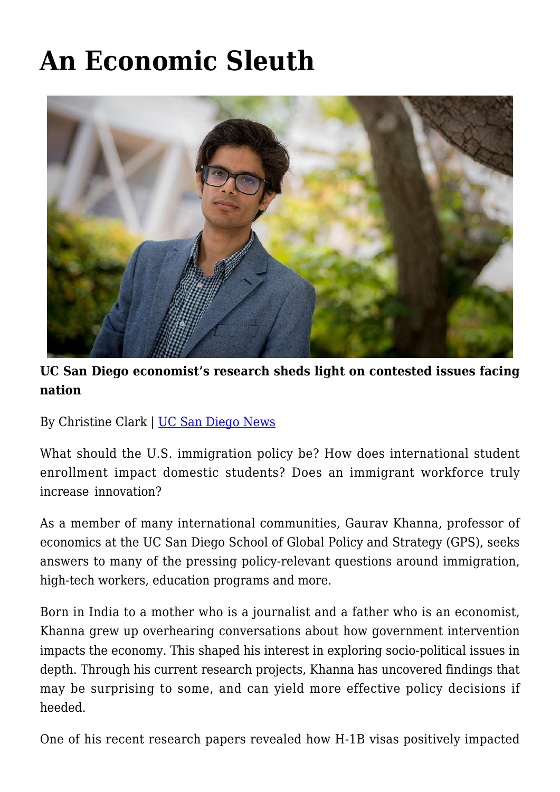# **[An Economic Sleuth](https://gpsnews.ucsd.edu/an-economic-sleuth/)**



## **UC San Diego economist's research sheds light on contested issues facing nation**

By Christine Clark | [UC San Diego News](https://ucsdnews.ucsd.edu/feature/an-economic-sleuth)

What should the U.S. immigration policy be? How does international student enrollment impact domestic students? Does an immigrant workforce truly increase innovation?

As a member of many international communities, Gaurav Khanna, professor of economics at the UC San Diego School of Global Policy and Strategy (GPS), seeks answers to many of the pressing policy-relevant questions around immigration, high-tech workers, education programs and more.

Born in India to a mother who is a journalist and a father who is an economist, Khanna grew up overhearing conversations about how government intervention impacts the economy. This shaped his interest in exploring socio-political issues in depth. Through his current research projects, Khanna has uncovered findings that may be surprising to some, and can yield more effective policy decisions if heeded.

One of his recent research papers revealed how H-1B visas positively impacted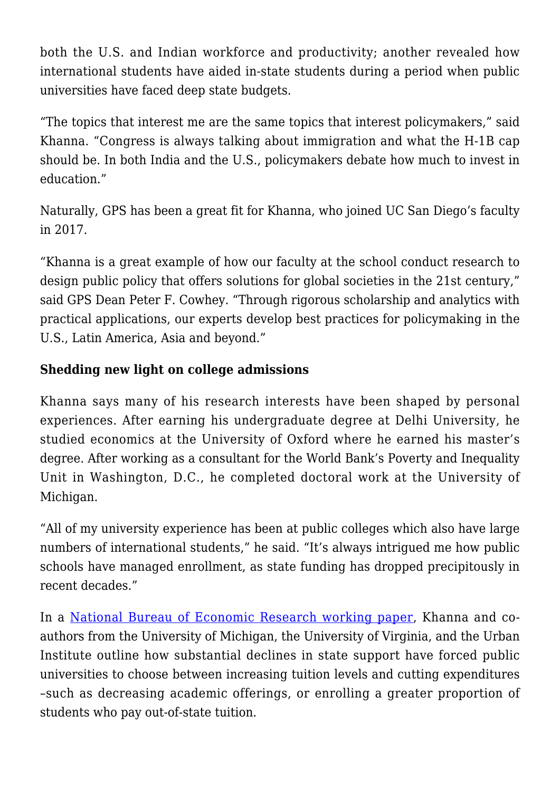both the U.S. and Indian workforce and productivity; another revealed how international students have aided in-state students during a period when public universities have faced deep state budgets.

"The topics that interest me are the same topics that interest policymakers," said Khanna. "Congress is always talking about immigration and what the H-1B cap should be. In both India and the U.S., policymakers debate how much to invest in education."

Naturally, GPS has been a great fit for Khanna, who joined UC San Diego's faculty in 2017.

"Khanna is a great example of how our faculty at the school conduct research to design public policy that offers solutions for global societies in the 21st century," said GPS Dean Peter F. Cowhey. "Through rigorous scholarship and analytics with practical applications, our experts develop best practices for policymaking in the U.S., Latin America, Asia and beyond."

#### **Shedding new light on college admissions**

Khanna says many of his research interests have been shaped by personal experiences. After earning his undergraduate degree at Delhi University, he studied economics at the University of Oxford where he earned his master's degree. After working as a consultant for the World Bank's Poverty and Inequality Unit in Washington, D.C., he completed doctoral work at the University of Michigan.

"All of my university experience has been at public colleges which also have large numbers of international students," he said. "It's always intrigued me how public schools have managed enrollment, as state funding has dropped precipitously in recent decades."

In a [National Bureau of Economic Research working paper](http://www.nber.org/papers/w22981), Khanna and coauthors from the University of Michigan, the University of Virginia, and the Urban Institute outline how substantial declines in state support have forced public universities to choose between increasing tuition levels and cutting expenditures –such as decreasing academic offerings, or enrolling a greater proportion of students who pay out-of-state tuition.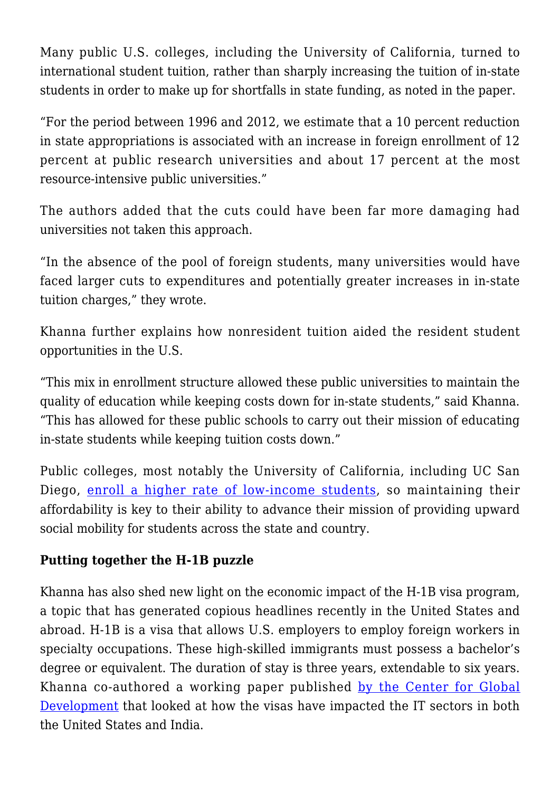Many public U.S. colleges, including the University of California, turned to international student tuition, rather than sharply increasing the tuition of in-state students in order to make up for shortfalls in state funding, as noted in the paper.

"For the period between 1996 and 2012, we estimate that a 10 percent reduction in state appropriations is associated with an increase in foreign enrollment of 12 percent at public research universities and about 17 percent at the most resource-intensive public universities."

The authors added that the cuts could have been far more damaging had universities not taken this approach.

"In the absence of the pool of foreign students, many universities would have faced larger cuts to expenditures and potentially greater increases in in-state tuition charges," they wrote.

Khanna further explains how nonresident tuition aided the resident student opportunities in the U.S.

"This mix in enrollment structure allowed these public universities to maintain the quality of education while keeping costs down for in-state students," said Khanna. "This has allowed for these public schools to carry out their mission of educating in-state students while keeping tuition costs down."

Public colleges, most notably the University of California, including UC San Diego, [enroll a higher rate of low-income students](https://www.theatlantic.com/education/archive/2018/05/university-california-pell-graduation-enrollment/559325/), so maintaining their affordability is key to their ability to advance their mission of providing upward social mobility for students across the state and country.

## **Putting together the H-1B puzzle**

Khanna has also shed new light on the economic impact of the H-1B visa program, a topic that has generated copious headlines recently in the United States and abroad. H-1B is a visa that allows U.S. employers to employ foreign workers in specialty occupations. These high-skilled immigrants must possess a bachelor's degree or equivalent. The duration of stay is three years, extendable to six years. Khanna co-authored a working paper published [by the Center for Global](https://www.cgdev.org/publication/it-boom-and-other-unintended-consequences-chasing-american-dream) [Development](https://www.cgdev.org/publication/it-boom-and-other-unintended-consequences-chasing-american-dream) that looked at how the visas have impacted the IT sectors in both the United States and India.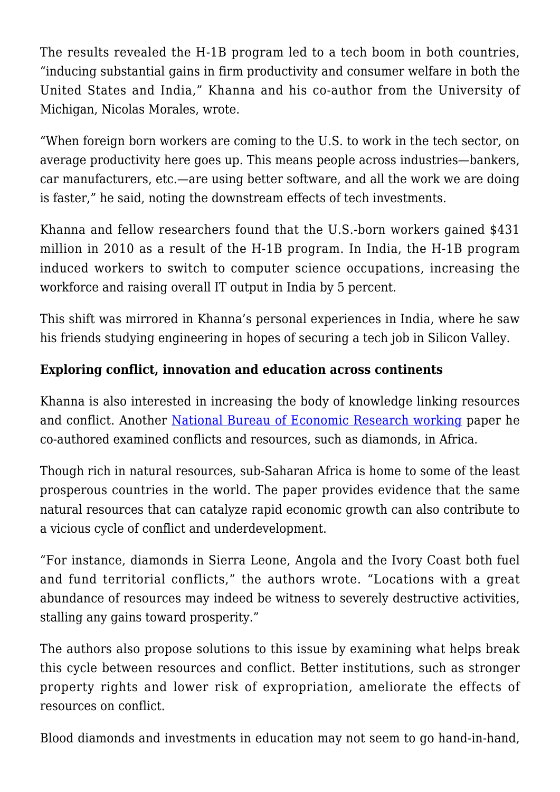The results revealed the H-1B program led to a tech boom in both countries, "inducing substantial gains in firm productivity and consumer welfare in both the United States and India," Khanna and his co-author from the University of Michigan, Nicolas Morales, wrote.

"When foreign born workers are coming to the U.S. to work in the tech sector, on average productivity here goes up. This means people across industries—bankers, car manufacturers, etc.—are using better software, and all the work we are doing is faster," he said, noting the downstream effects of tech investments.

Khanna and fellow researchers found that the U.S.-born workers gained \$431 million in 2010 as a result of the H-1B program. In India, the H-1B program induced workers to switch to computer science occupations, increasing the workforce and raising overall IT output in India by 5 percent.

This shift was mirrored in Khanna's personal experiences in India, where he saw his friends studying engineering in hopes of securing a tech job in Silicon Valley.

## **Exploring conflict, innovation and education across continents**

Khanna is also interested in increasing the body of knowledge linking resources and conflict. Another [National Bureau of Economic Research working](http://www.nber.org/papers/w24309) paper he co-authored examined conflicts and resources, such as diamonds, in Africa.

Though rich in natural resources, sub-Saharan Africa is home to some of the least prosperous countries in the world. The paper provides evidence that the same natural resources that can catalyze rapid economic growth can also contribute to a vicious cycle of conflict and underdevelopment.

"For instance, diamonds in Sierra Leone, Angola and the Ivory Coast both fuel and fund territorial conflicts," the authors wrote. "Locations with a great abundance of resources may indeed be witness to severely destructive activities, stalling any gains toward prosperity."

The authors also propose solutions to this issue by examining what helps break this cycle between resources and conflict. Better institutions, such as stronger property rights and lower risk of expropriation, ameliorate the effects of resources on conflict.

Blood diamonds and investments in education may not seem to go hand-in-hand,